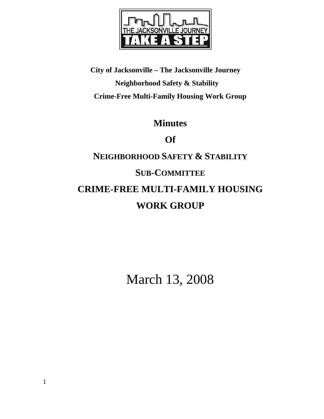

**City of Jacksonville – The Jacksonville Journey Neighborhood Safety & Stability Crime-Free Multi-Family Housing Work Group** 

# **Minutes**

**Of** 

# **NEIGHBORHOOD SAFETY & STABILITY SUB-COMMITTEE CRIME-FREE MULTI-FAMILY HOUSING WORK GROUP**

March 13, 2008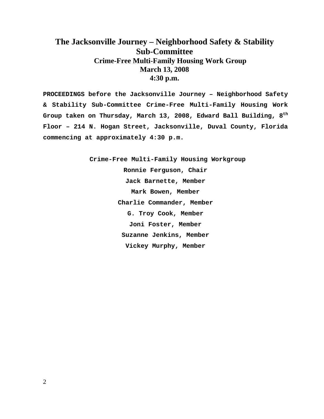# **The Jacksonville Journey – Neighborhood Safety & Stability Sub-Committee Crime-Free Multi-Family Housing Work Group March 13, 2008 4:30 p.m.**

**PROCEEDINGS before the Jacksonville Journey – Neighborhood Safety & Stability Sub-Committee Crime-Free Multi-Family Housing Work Group taken on Thursday, March 13, 2008, Edward Ball Building, 8th Floor – 214 N. Hogan Street, Jacksonville, Duval County, Florida commencing at approximately 4:30 p.m.** 

> **Crime-Free Multi-Family Housing Workgroup Ronnie Ferguson, Chair Jack Barnette, Member Mark Bowen, Member Charlie Commander, Member G. Troy Cook, Member Joni Foster, Member Suzanne Jenkins, Member Vickey Murphy, Member**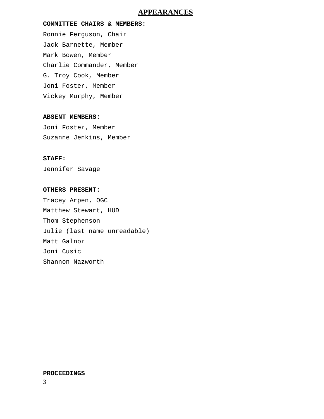# **APPEARANCES**

# **COMMITTEE CHAIRS & MEMBERS:**

Ronnie Ferguson, Chair Jack Barnette, Member Mark Bowen, Member Charlie Commander, Member G. Troy Cook, Member Joni Foster, Member Vickey Murphy, Member

# **ABSENT MEMBERS:**

Joni Foster, Member Suzanne Jenkins, Member

# **STAFF:**

Jennifer Savage

### **OTHERS PRESENT:**

Tracey Arpen, OGC Matthew Stewart, HUD Thom Stephenson Julie (last name unreadable) Matt Galnor Joni Cusic Shannon Nazworth

## **PROCEEDINGS**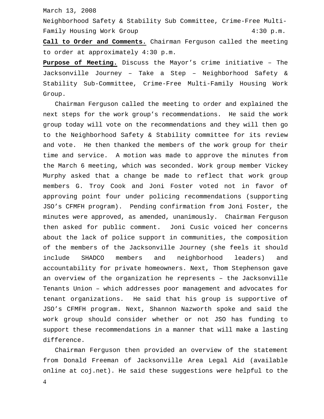March 13, 2008

Neighborhood Safety & Stability Sub Committee, Crime-Free Multi-Family Housing Work Group 1997 1997 1998 12:30 p.m.

**Call to Order and Comments.** Chairman Ferguson called the meeting to order at approximately 4:30 p.m.

**Purpose of Meeting.** Discuss the Mayor's crime initiative – The Jacksonville Journey – Take a Step – Neighborhood Safety & Stability Sub-Committee, Crime-Free Multi-Family Housing Work Group.

 Chairman Ferguson called the meeting to order and explained the next steps for the work group's recommendations. He said the work group today will vote on the recommendations and they will then go to the Neighborhood Safety & Stability committee for its review and vote. He then thanked the members of the work group for their time and service. A motion was made to approve the minutes from the March 6 meeting, which was seconded. Work group member Vickey Murphy asked that a change be made to reflect that work group members G. Troy Cook and Joni Foster voted not in favor of approving point four under policing recommendations (supporting JSO's CFMFH program). Pending confirmation from Joni Foster, the minutes were approved, as amended, unanimously. Chairman Ferguson then asked for public comment. Joni Cusic voiced her concerns about the lack of police support in communities, the composition of the members of the Jacksonville Journey (she feels it should include SHADCO members and neighborhood leaders) and accountability for private homeowners. Next, Thom Stephenson gave an overview of the organization he represents – the Jacksonville Tenants Union – which addresses poor management and advocates for tenant organizations. He said that his group is supportive of JSO's CFMFH program. Next, Shannon Nazworth spoke and said the work group should consider whether or not JSO has funding to support these recommendations in a manner that will make a lasting difference.

 Chairman Ferguson then provided an overview of the statement from Donald Freeman of Jacksonville Area Legal Aid (available online at coj.net). He said these suggestions were helpful to the

4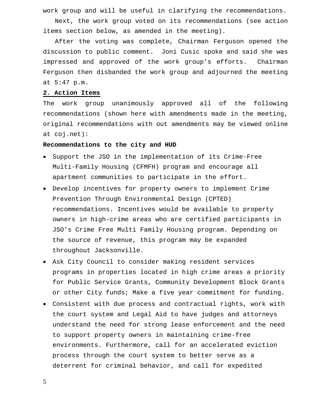work group and will be useful in clarifying the recommendations.

 Next, the work group voted on its recommendations (see action items section below, as amended in the meeting).

 After the voting was complete, Chairman Ferguson opened the discussion to public comment. Joni Cusic spoke and said she was impressed and approved of the work group's efforts. Chairman Ferguson then disbanded the work group and adjourned the meeting at 5:47 p.m.

# **2. Action Items**

The work group unanimously approved all of the following recommendations (shown here with amendments made in the meeting, original recommendations with out amendments may be viewed online at coj.net):

#### **Recommendations to the city and HUD**

- Support the JSO in the implementation of its Crime-Free Multi-Family Housing (CFMFH) program and encourage all apartment communities to participate in the effort.
- Develop incentives for property owners to implement Crime Prevention Through Environmental Design (CPTED) recommendations. Incentives would be available to property owners in high-crime areas who are certified participants in JSO's Crime Free Multi Family Housing program. Depending on the source of revenue, this program may be expanded throughout Jacksonville.
- Ask City Council to consider making resident services programs in properties located in high crime areas a priority for Public Service Grants, Community Development Block Grants or other City funds; Make a five year commitment for funding.
- Consistent with due process and contractual rights, work with the court system and Legal Aid to have judges and attorneys understand the need for strong lease enforcement and the need to support property owners in maintaining crime-free environments. Furthermore, call for an accelerated eviction process through the court system to better serve as a deterrent for criminal behavior, and call for expedited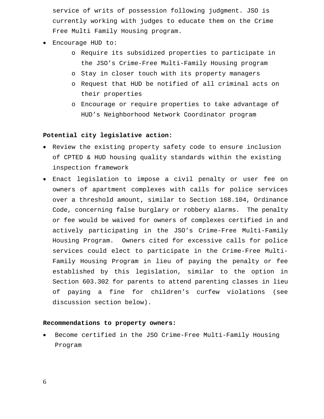service of writs of possession following judgment. JSO is currently working with judges to educate them on the Crime Free Multi Family Housing program.

- Encourage HUD to:
	- o Require its subsidized properties to participate in the JSO's Crime-Free Multi-Family Housing program
	- o Stay in closer touch with its property managers
	- o Request that HUD be notified of all criminal acts on their properties
	- o Encourage or require properties to take advantage of HUD's Neighborhood Network Coordinator program

#### **Potential city legislative action:**

- Review the existing property safety code to ensure inclusion of CPTED & HUD housing quality standards within the existing inspection framework
- Enact legislation to impose a civil penalty or user fee on owners of apartment complexes with calls for police services over a threshold amount, similar to Section 168.104, Ordinance Code, concerning false burglary or robbery alarms. The penalty or fee would be waived for owners of complexes certified in and actively participating in the JSO's Crime-Free Multi-Family Housing Program. Owners cited for excessive calls for police services could elect to participate in the Crime-Free Multi-Family Housing Program in lieu of paying the penalty or fee established by this legislation, similar to the option in Section 603.302 for parents to attend parenting classes in lieu of paying a fine for children's curfew violations (see discussion section below).

## **Recommendations to property owners:**

• Become certified in the JSO Crime-Free Multi-Family Housing Program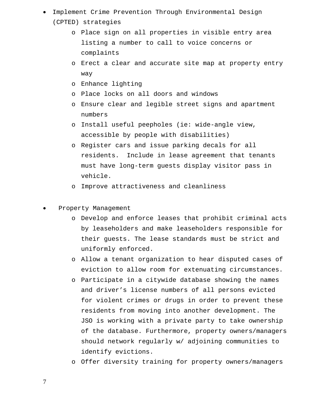- Implement Crime Prevention Through Environmental Design (CPTED) strategies
	- o Place sign on all properties in visible entry area listing a number to call to voice concerns or complaints
	- o Erect a clear and accurate site map at property entry way
	- o Enhance lighting
	- o Place locks on all doors and windows
	- o Ensure clear and legible street signs and apartment numbers
	- o Install useful peepholes (ie: wide-angle view, accessible by people with disabilities)
	- o Register cars and issue parking decals for all residents. Include in lease agreement that tenants must have long-term guests display visitor pass in vehicle.
	- o Improve attractiveness and cleanliness
- Property Management
	- o Develop and enforce leases that prohibit criminal acts by leaseholders and make leaseholders responsible for their guests. The lease standards must be strict and uniformly enforced.
	- o Allow a tenant organization to hear disputed cases of eviction to allow room for extenuating circumstances.
	- o Participate in a citywide database showing the names and driver's license numbers of all persons evicted for violent crimes or drugs in order to prevent these residents from moving into another development. The JSO is working with a private party to take ownership of the database. Furthermore, property owners/managers should network regularly w/ adjoining communities to identify evictions.
	- o Offer diversity training for property owners/managers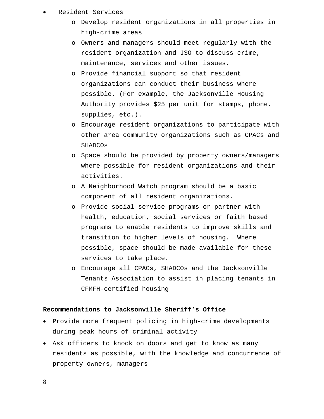## • Resident Services

- o Develop resident organizations in all properties in high-crime areas
- o Owners and managers should meet regularly with the resident organization and JSO to discuss crime, maintenance, services and other issues.
- o Provide financial support so that resident organizations can conduct their business where possible. (For example, the Jacksonville Housing Authority provides \$25 per unit for stamps, phone, supplies, etc.).
- o Encourage resident organizations to participate with other area community organizations such as CPACs and SHADCOs
- o Space should be provided by property owners/managers where possible for resident organizations and their activities.
- o A Neighborhood Watch program should be a basic component of all resident organizations.
- o Provide social service programs or partner with health, education, social services or faith based programs to enable residents to improve skills and transition to higher levels of housing. Where possible, space should be made available for these services to take place.
- o Encourage all CPACs, SHADCOs and the Jacksonville Tenants Association to assist in placing tenants in CFMFH-certified housing

# **Recommendations to Jacksonville Sheriff's Office**

- Provide more frequent policing in high-crime developments during peak hours of criminal activity
- Ask officers to knock on doors and get to know as many residents as possible, with the knowledge and concurrence of property owners, managers